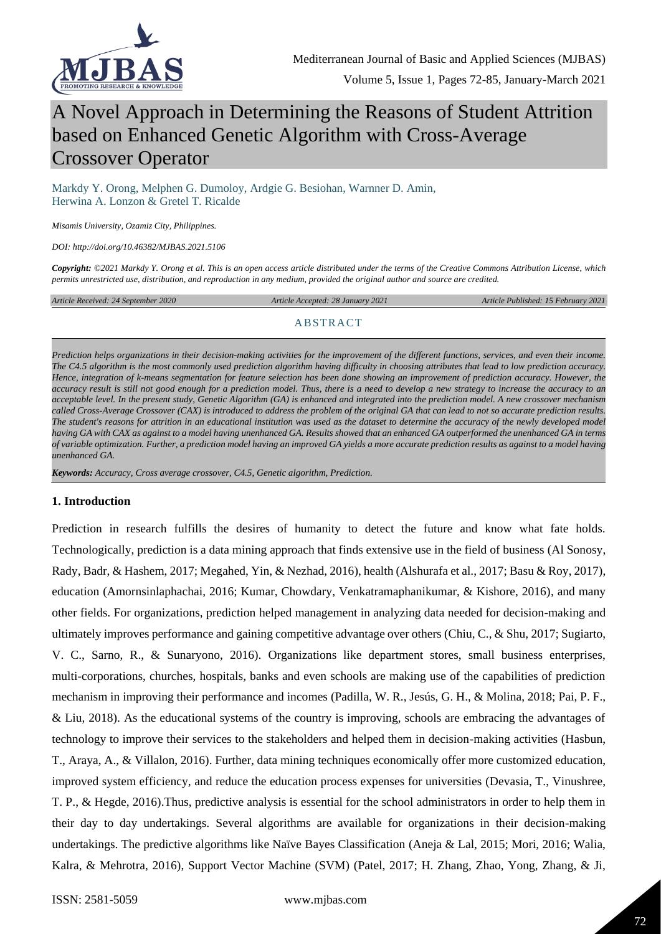

# A Novel Approach in Determining the Reasons of Student Attrition based on Enhanced Genetic Algorithm with Cross-Average Crossover Operator

Markdy Y. Orong, Melphen G. Dumoloy, Ardgie G. Besiohan, Warnner D. Amin, Herwina A. Lonzon & Gretel T. Ricalde

*Misamis University, Ozamiz City, Philippines.*

*DOI: http://doi.org/10.46382/MJBAS.2021.5106*

*Copyright: ©2021 Markdy Y. Orong et al. This is an open access article distributed under the terms of the [Creative Commons Attribution License,](https://creativecommons.org/licenses/by-sa/4.0/) which permits unrestricted use, distribution, and reproduction in any medium, provided the original author and source are credited.* 

*Article Received: 24 September 2020 Article Accepted: 28 January 2021 Article Published: 15 February 2021*

#### ABSTRACT

*Prediction helps organizations in their decision-making activities for the improvement of the different functions, services, and even their income. The C4.5 algorithm is the most commonly used prediction algorithm having difficulty in choosing attributes that lead to low prediction accuracy. Hence, integration of k-means segmentation for feature selection has been done showing an improvement of prediction accuracy. However, the accuracy result is still not good enough for a prediction model. Thus, there is a need to develop a new strategy to increase the accuracy to an acceptable level. In the present study, Genetic Algorithm (GA) is enhanced and integrated into the prediction model. A new crossover mechanism called Cross-Average Crossover (CAX) is introduced to address the problem of the original GA that can lead to not so accurate prediction results.*  The student's reasons for attrition in an educational institution was used as the dataset to determine the accuracy of the newly developed model *having GA with CAX as against to a model having unenhanced GA. Results showed that an enhanced GA outperformed the unenhanced GA in terms of variable optimization. Further, a prediction model having an improved GA yields a more accurate prediction results as against to a model having unenhanced GA.*

*Keywords: Accuracy, Cross average crossover, C4.5, Genetic algorithm, Prediction.*

#### **1. Introduction**

Prediction in research fulfills the desires of humanity to detect the future and know what fate holds. Technologically, prediction is a data mining approach that finds extensive use in the field of business (Al Sonosy, Rady, Badr, & Hashem, 2017; Megahed, Yin, & Nezhad, 2016), health (Alshurafa et al., 2017; Basu & Roy, 2017), education (Amornsinlaphachai, 2016; Kumar, Chowdary, Venkatramaphanikumar, & Kishore, 2016), and many other fields. For organizations, prediction helped management in analyzing data needed for decision-making and ultimately improves performance and gaining competitive advantage over others (Chiu, C., & Shu, 2017; Sugiarto, V. C., Sarno, R., & Sunaryono, 2016). Organizations like department stores, small business enterprises, multi-corporations, churches, hospitals, banks and even schools are making use of the capabilities of prediction mechanism in improving their performance and incomes (Padilla, W. R., Jesús, G. H., & Molina, 2018; Pai, P. F., & Liu, 2018). As the educational systems of the country is improving, schools are embracing the advantages of technology to improve their services to the stakeholders and helped them in decision-making activities (Hasbun, T., Araya, A., & Villalon, 2016). Further, data mining techniques economically offer more customized education, improved system efficiency, and reduce the education process expenses for universities (Devasia, T., Vinushree, T. P., & Hegde, 2016).Thus, predictive analysis is essential for the school administrators in order to help them in their day to day undertakings. Several algorithms are available for organizations in their decision-making undertakings. The predictive algorithms like Naïve Bayes Classification (Aneja & Lal, 2015; Mori, 2016; Walia, Kalra, & Mehrotra, 2016), Support Vector Machine (SVM) (Patel, 2017; H. Zhang, Zhao, Yong, Zhang, & Ji,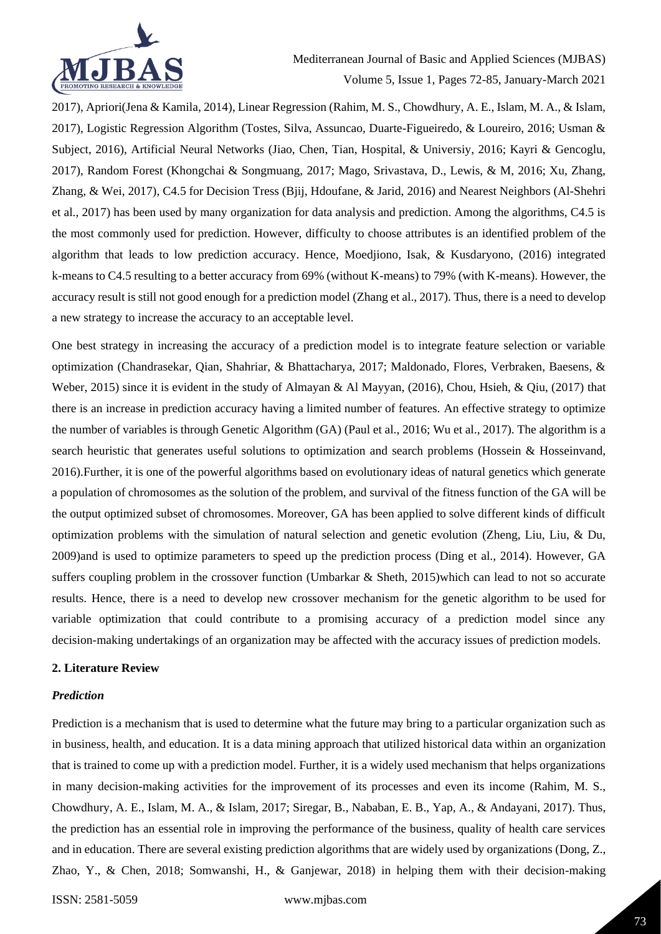

2017), Apriori(Jena & Kamila, 2014), Linear Regression (Rahim, M. S., Chowdhury, A. E., Islam, M. A., & Islam, 2017), Logistic Regression Algorithm (Tostes, Silva, Assuncao, Duarte-Figueiredo, & Loureiro, 2016; Usman & Subject, 2016), Artificial Neural Networks (Jiao, Chen, Tian, Hospital, & Universiy, 2016; Kayri & Gencoglu, 2017), Random Forest (Khongchai & Songmuang, 2017; Mago, Srivastava, D., Lewis, & M, 2016; Xu, Zhang, Zhang, & Wei, 2017), C4.5 for Decision Tress (Bjij, Hdoufane, & Jarid, 2016) and Nearest Neighbors (Al-Shehri et al., 2017) has been used by many organization for data analysis and prediction. Among the algorithms, C4.5 is the most commonly used for prediction. However, difficulty to choose attributes is an identified problem of the algorithm that leads to low prediction accuracy. Hence, Moedjiono, Isak, & Kusdaryono, (2016) integrated k-means to C4.5 resulting to a better accuracy from 69% (without K-means) to 79% (with K-means). However, the accuracy result is still not good enough for a prediction model (Zhang et al., 2017). Thus, there is a need to develop a new strategy to increase the accuracy to an acceptable level.

One best strategy in increasing the accuracy of a prediction model is to integrate feature selection or variable optimization (Chandrasekar, Qian, Shahriar, & Bhattacharya, 2017; Maldonado, Flores, Verbraken, Baesens, & Weber, 2015) since it is evident in the study of Almayan & Al Mayyan, (2016), Chou, Hsieh, & Qiu, (2017) that there is an increase in prediction accuracy having a limited number of features. An effective strategy to optimize the number of variables is through Genetic Algorithm (GA) (Paul et al., 2016; Wu et al., 2017). The algorithm is a search heuristic that generates useful solutions to optimization and search problems (Hossein & Hosseinvand, 2016).Further, it is one of the powerful algorithms based on evolutionary ideas of natural genetics which generate a population of chromosomes as the solution of the problem, and survival of the fitness function of the GA will be the output optimized subset of chromosomes. Moreover, GA has been applied to solve different kinds of difficult optimization problems with the simulation of natural selection and genetic evolution (Zheng, Liu, Liu, & Du, 2009)and is used to optimize parameters to speed up the prediction process (Ding et al., 2014). However, GA suffers coupling problem in the crossover function (Umbarkar & Sheth, 2015)which can lead to not so accurate results. Hence, there is a need to develop new crossover mechanism for the genetic algorithm to be used for variable optimization that could contribute to a promising accuracy of a prediction model since any decision-making undertakings of an organization may be affected with the accuracy issues of prediction models.

#### **2. Literature Review**

#### *Prediction*

Prediction is a mechanism that is used to determine what the future may bring to a particular organization such as in business, health, and education. It is a data mining approach that utilized historical data within an organization that is trained to come up with a prediction model. Further, it is a widely used mechanism that helps organizations in many decision-making activities for the improvement of its processes and even its income (Rahim, M. S., Chowdhury, A. E., Islam, M. A., & Islam, 2017; Siregar, B., Nababan, E. B., Yap, A., & Andayani, 2017). Thus, the prediction has an essential role in improving the performance of the business, quality of health care services and in education. There are several existing prediction algorithms that are widely used by organizations (Dong, Z., Zhao, Y., & Chen, 2018; Somwanshi, H., & Ganjewar, 2018) in helping them with their decision-making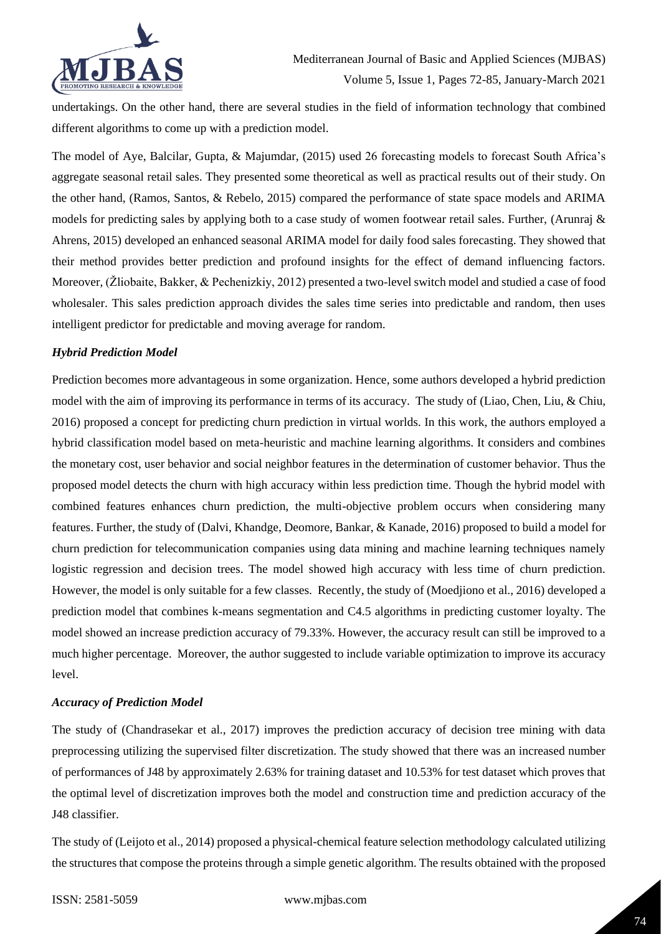

undertakings. On the other hand, there are several studies in the field of information technology that combined different algorithms to come up with a prediction model.

The model of Aye, Balcilar, Gupta, & Majumdar, (2015) used 26 forecasting models to forecast South Africa's aggregate seasonal retail sales. They presented some theoretical as well as practical results out of their study. On the other hand, (Ramos, Santos, & Rebelo, 2015) compared the performance of state space models and ARIMA models for predicting sales by applying both to a case study of women footwear retail sales. Further, (Arunraj & Ahrens, 2015) developed an enhanced seasonal ARIMA model for daily food sales forecasting. They showed that their method provides better prediction and profound insights for the effect of demand influencing factors. Moreover, (Žliobaite, Bakker, & Pechenizkiy, 2012) presented a two-level switch model and studied a case of food wholesaler. This sales prediction approach divides the sales time series into predictable and random, then uses intelligent predictor for predictable and moving average for random.

## *Hybrid Prediction Model*

Prediction becomes more advantageous in some organization. Hence, some authors developed a hybrid prediction model with the aim of improving its performance in terms of its accuracy. The study of (Liao, Chen, Liu, & Chiu, 2016) proposed a concept for predicting churn prediction in virtual worlds. In this work, the authors employed a hybrid classification model based on meta-heuristic and machine learning algorithms. It considers and combines the monetary cost, user behavior and social neighbor features in the determination of customer behavior. Thus the proposed model detects the churn with high accuracy within less prediction time. Though the hybrid model with combined features enhances churn prediction, the multi-objective problem occurs when considering many features. Further, the study of (Dalvi, Khandge, Deomore, Bankar, & Kanade, 2016) proposed to build a model for churn prediction for telecommunication companies using data mining and machine learning techniques namely logistic regression and decision trees. The model showed high accuracy with less time of churn prediction. However, the model is only suitable for a few classes. Recently, the study of (Moedjiono et al., 2016) developed a prediction model that combines k-means segmentation and C4.5 algorithms in predicting customer loyalty. The model showed an increase prediction accuracy of 79.33%. However, the accuracy result can still be improved to a much higher percentage. Moreover, the author suggested to include variable optimization to improve its accuracy level.

#### *Accuracy of Prediction Model*

The study of (Chandrasekar et al., 2017) improves the prediction accuracy of decision tree mining with data preprocessing utilizing the supervised filter discretization. The study showed that there was an increased number of performances of J48 by approximately 2.63% for training dataset and 10.53% for test dataset which proves that the optimal level of discretization improves both the model and construction time and prediction accuracy of the J48 classifier.

The study of (Leijoto et al., 2014) proposed a physical-chemical feature selection methodology calculated utilizing the structures that compose the proteins through a simple genetic algorithm. The results obtained with the proposed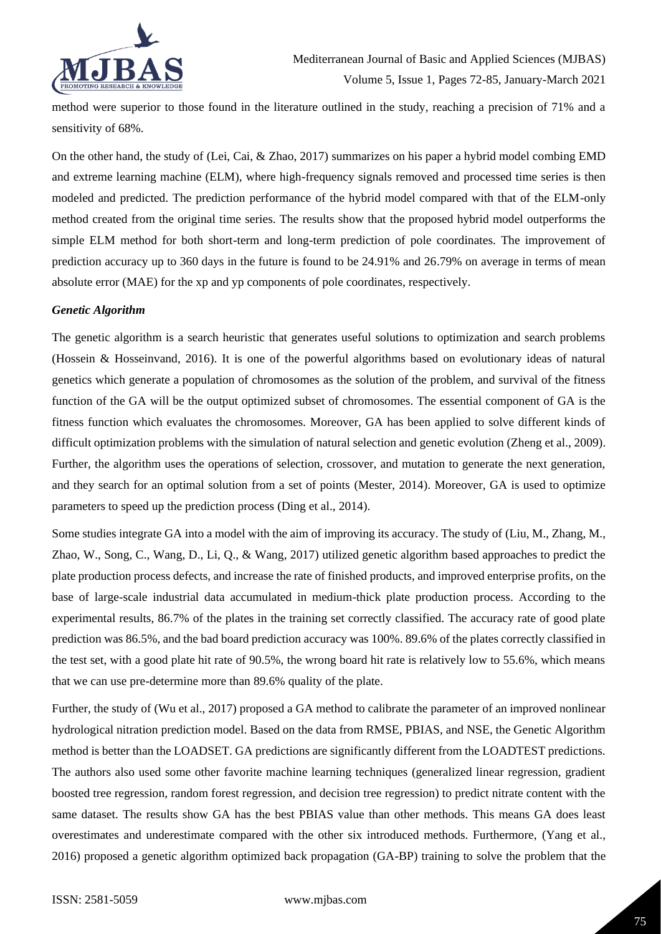

method were superior to those found in the literature outlined in the study, reaching a precision of 71% and a sensitivity of 68%.

On the other hand, the study of (Lei, Cai, & Zhao, 2017) summarizes on his paper a hybrid model combing EMD and extreme learning machine (ELM), where high-frequency signals removed and processed time series is then modeled and predicted. The prediction performance of the hybrid model compared with that of the ELM-only method created from the original time series. The results show that the proposed hybrid model outperforms the simple ELM method for both short-term and long-term prediction of pole coordinates. The improvement of prediction accuracy up to 360 days in the future is found to be 24.91% and 26.79% on average in terms of mean absolute error (MAE) for the xp and yp components of pole coordinates, respectively.

#### *Genetic Algorithm*

The genetic algorithm is a search heuristic that generates useful solutions to optimization and search problems (Hossein & Hosseinvand, 2016). It is one of the powerful algorithms based on evolutionary ideas of natural genetics which generate a population of chromosomes as the solution of the problem, and survival of the fitness function of the GA will be the output optimized subset of chromosomes. The essential component of GA is the fitness function which evaluates the chromosomes. Moreover, GA has been applied to solve different kinds of difficult optimization problems with the simulation of natural selection and genetic evolution (Zheng et al., 2009). Further, the algorithm uses the operations of selection, crossover, and mutation to generate the next generation, and they search for an optimal solution from a set of points (Mester, 2014). Moreover, GA is used to optimize parameters to speed up the prediction process (Ding et al., 2014).

Some studies integrate GA into a model with the aim of improving its accuracy. The study of (Liu, M., Zhang, M., Zhao, W., Song, C., Wang, D., Li, Q., & Wang, 2017) utilized genetic algorithm based approaches to predict the plate production process defects, and increase the rate of finished products, and improved enterprise profits, on the base of large-scale industrial data accumulated in medium-thick plate production process. According to the experimental results, 86.7% of the plates in the training set correctly classified. The accuracy rate of good plate prediction was 86.5%, and the bad board prediction accuracy was 100%. 89.6% of the plates correctly classified in the test set, with a good plate hit rate of 90.5%, the wrong board hit rate is relatively low to 55.6%, which means that we can use pre-determine more than 89.6% quality of the plate.

Further, the study of (Wu et al., 2017) proposed a GA method to calibrate the parameter of an improved nonlinear hydrological nitration prediction model. Based on the data from RMSE, PBIAS, and NSE, the Genetic Algorithm method is better than the LOADSET. GA predictions are significantly different from the LOADTEST predictions. The authors also used some other favorite machine learning techniques (generalized linear regression, gradient boosted tree regression, random forest regression, and decision tree regression) to predict nitrate content with the same dataset. The results show GA has the best PBIAS value than other methods. This means GA does least overestimates and underestimate compared with the other six introduced methods. Furthermore, (Yang et al., 2016) proposed a genetic algorithm optimized back propagation (GA-BP) training to solve the problem that the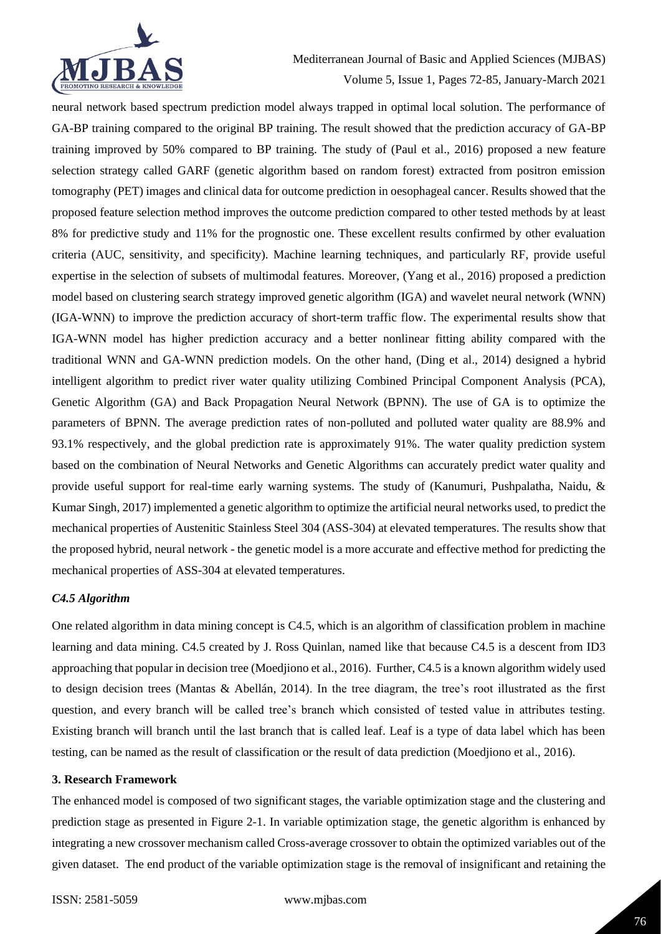

neural network based spectrum prediction model always trapped in optimal local solution. The performance of GA-BP training compared to the original BP training. The result showed that the prediction accuracy of GA-BP training improved by 50% compared to BP training. The study of (Paul et al., 2016) proposed a new feature selection strategy called GARF (genetic algorithm based on random forest) extracted from positron emission tomography (PET) images and clinical data for outcome prediction in oesophageal cancer. Results showed that the proposed feature selection method improves the outcome prediction compared to other tested methods by at least 8% for predictive study and 11% for the prognostic one. These excellent results confirmed by other evaluation criteria (AUC, sensitivity, and specificity). Machine learning techniques, and particularly RF, provide useful expertise in the selection of subsets of multimodal features. Moreover, (Yang et al., 2016) proposed a prediction model based on clustering search strategy improved genetic algorithm (IGA) and wavelet neural network (WNN) (IGA-WNN) to improve the prediction accuracy of short-term traffic flow. The experimental results show that IGA-WNN model has higher prediction accuracy and a better nonlinear fitting ability compared with the traditional WNN and GA-WNN prediction models. On the other hand, (Ding et al., 2014) designed a hybrid intelligent algorithm to predict river water quality utilizing Combined Principal Component Analysis (PCA), Genetic Algorithm (GA) and Back Propagation Neural Network (BPNN). The use of GA is to optimize the parameters of BPNN. The average prediction rates of non-polluted and polluted water quality are 88.9% and 93.1% respectively, and the global prediction rate is approximately 91%. The water quality prediction system based on the combination of Neural Networks and Genetic Algorithms can accurately predict water quality and provide useful support for real-time early warning systems. The study of (Kanumuri, Pushpalatha, Naidu, & Kumar Singh, 2017) implemented a genetic algorithm to optimize the artificial neural networks used, to predict the mechanical properties of Austenitic Stainless Steel 304 (ASS-304) at elevated temperatures. The results show that the proposed hybrid, neural network - the genetic model is a more accurate and effective method for predicting the mechanical properties of ASS-304 at elevated temperatures.

#### *C4.5 Algorithm*

One related algorithm in data mining concept is C4.5, which is an algorithm of classification problem in machine learning and data mining. C4.5 created by J. Ross Quinlan, named like that because C4.5 is a descent from ID3 approaching that popular in decision tree (Moedjiono et al., 2016). Further, C4.5 is a known algorithm widely used to design decision trees (Mantas & Abellán, 2014). In the tree diagram, the tree's root illustrated as the first question, and every branch will be called tree's branch which consisted of tested value in attributes testing. Existing branch will branch until the last branch that is called leaf. Leaf is a type of data label which has been testing, can be named as the result of classification or the result of data prediction (Moedjiono et al., 2016).

#### **3. Research Framework**

The enhanced model is composed of two significant stages, the variable optimization stage and the clustering and prediction stage as presented in Figure 2-1. In variable optimization stage, the genetic algorithm is enhanced by integrating a new crossover mechanism called Cross-average crossover to obtain the optimized variables out of the given dataset. The end product of the variable optimization stage is the removal of insignificant and retaining the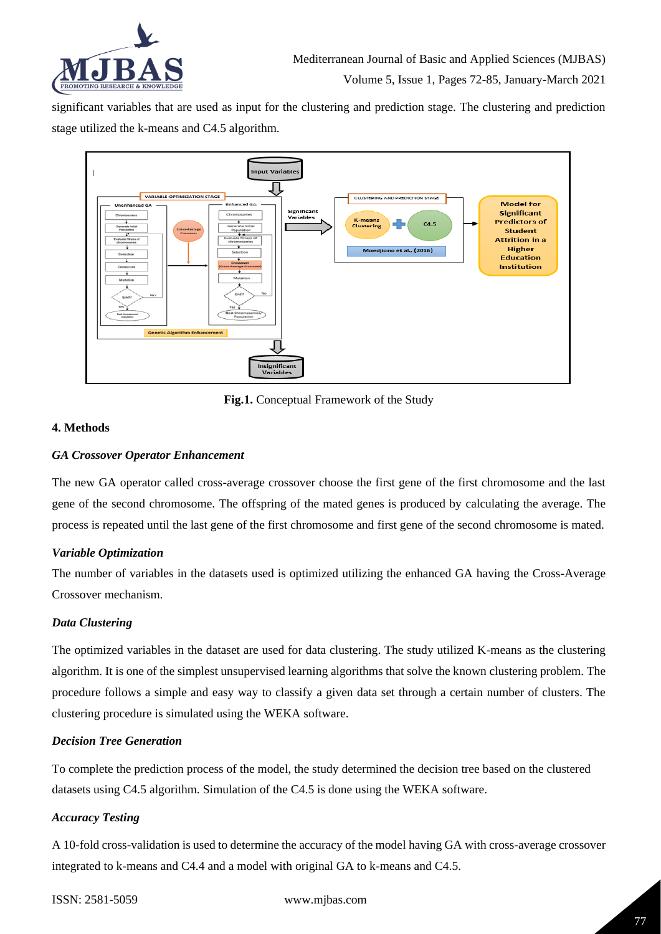

significant variables that are used as input for the clustering and prediction stage. The clustering and prediction stage utilized the k-means and C4.5 algorithm.



**Fig.1.** Conceptual Framework of the Study

## **4. Methods**

#### *GA Crossover Operator Enhancement*

The new GA operator called cross-average crossover choose the first gene of the first chromosome and the last gene of the second chromosome. The offspring of the mated genes is produced by calculating the average. The process is repeated until the last gene of the first chromosome and first gene of the second chromosome is mated.

## *Variable Optimization*

The number of variables in the datasets used is optimized utilizing the enhanced GA having the Cross-Average Crossover mechanism.

## *Data Clustering*

The optimized variables in the dataset are used for data clustering. The study utilized K-means as the clustering algorithm. It is one of the simplest unsupervised learning algorithms that solve the known clustering problem. The procedure follows a simple and easy way to classify a given data set through a certain number of clusters. The clustering procedure is simulated using the WEKA software.

## *Decision Tree Generation*

To complete the prediction process of the model, the study determined the decision tree based on the clustered datasets using C4.5 algorithm. Simulation of the C4.5 is done using the WEKA software.

#### *Accuracy Testing*

A 10-fold cross-validation is used to determine the accuracy of the model having GA with cross-average crossover integrated to k-means and C4.4 and a model with original GA to k-means and C4.5.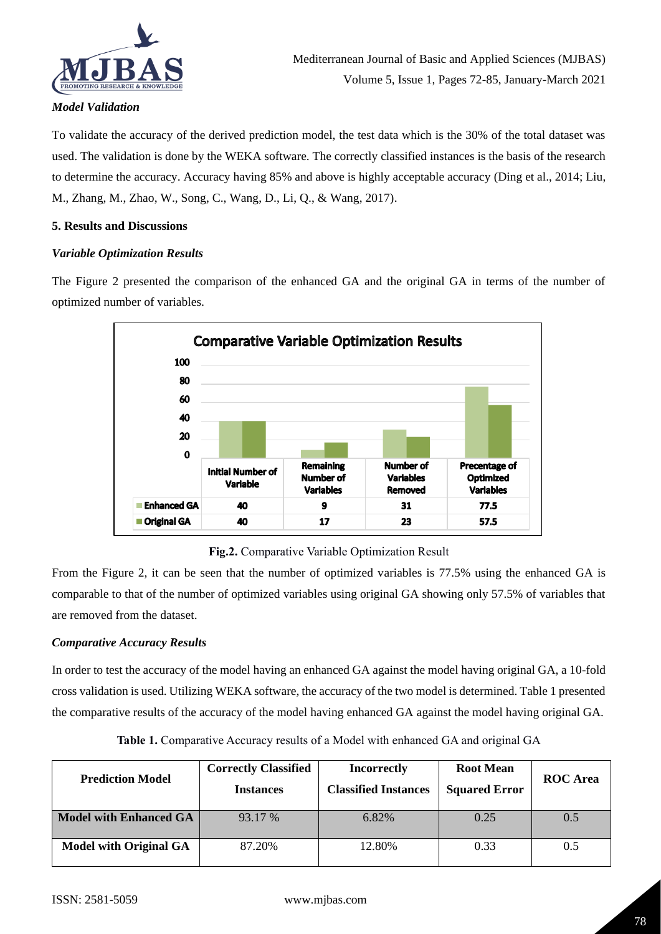

## *Model Validation*

To validate the accuracy of the derived prediction model, the test data which is the 30% of the total dataset was used. The validation is done by the WEKA software. The correctly classified instances is the basis of the research to determine the accuracy. Accuracy having 85% and above is highly acceptable accuracy (Ding et al., 2014; Liu, M., Zhang, M., Zhao, W., Song, C., Wang, D., Li, Q., & Wang, 2017).

## **5. Results and Discussions**

## *Variable Optimization Results*

The Figure 2 presented the comparison of the enhanced GA and the original GA in terms of the number of optimized number of variables.



**Fig.2.** Comparative Variable Optimization Result

From the Figure 2, it can be seen that the number of optimized variables is 77.5% using the enhanced GA is comparable to that of the number of optimized variables using original GA showing only 57.5% of variables that are removed from the dataset.

## *Comparative Accuracy Results*

In order to test the accuracy of the model having an enhanced GA against the model having original GA, a 10-fold cross validation is used. Utilizing WEKA software, the accuracy of the two model is determined. Table 1 presented the comparative results of the accuracy of the model having enhanced GA against the model having original GA.

| <b>Prediction Model</b>       | <b>Correctly Classified</b><br><b>Instances</b> | <b>Incorrectly</b><br><b>Classified Instances</b> | <b>Root Mean</b><br><b>Squared Error</b> | <b>ROC</b> Area |
|-------------------------------|-------------------------------------------------|---------------------------------------------------|------------------------------------------|-----------------|
| <b>Model with Enhanced GA</b> | 93.17 %                                         | 6.82%                                             | 0.25                                     | 0.5             |
| <b>Model with Original GA</b> | 87.20%                                          | 12.80%                                            | 0.33                                     | 0.5             |

**Table 1.** Comparative Accuracy results of a Model with enhanced GA and original GA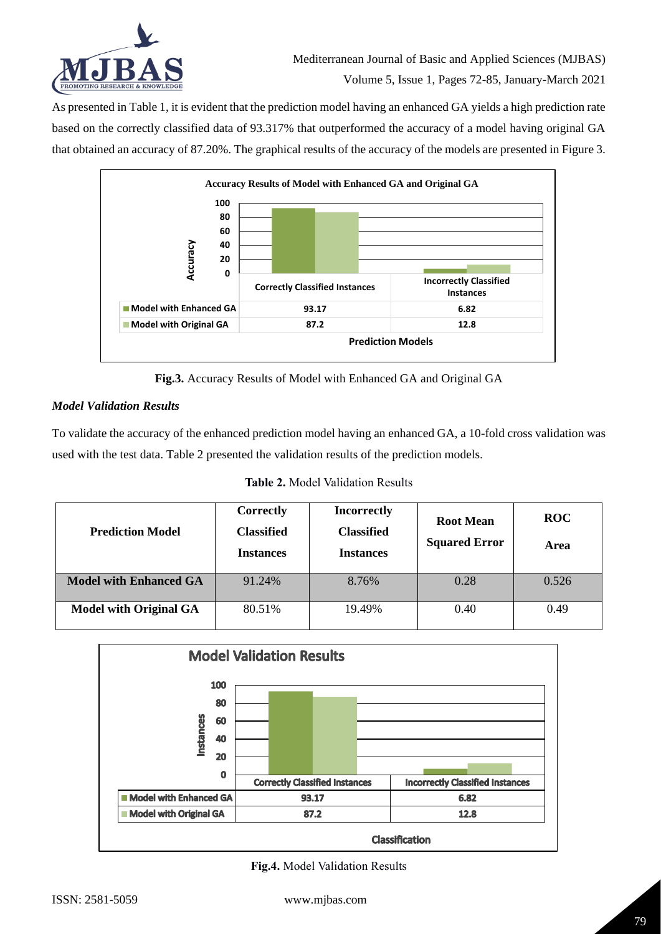

As presented in Table 1, it is evident that the prediction model having an enhanced GA yields a high prediction rate based on the correctly classified data of 93.317% that outperformed the accuracy of a model having original GA that obtained an accuracy of 87.20%. The graphical results of the accuracy of the models are presented in Figure 3.



**Fig.3.** Accuracy Results of Model with Enhanced GA and Original GA

# *Model Validation Results*

To validate the accuracy of the enhanced prediction model having an enhanced GA, a 10-fold cross validation was used with the test data. Table 2 presented the validation results of the prediction models.

**Table 2.** Model Validation Results

| <b>Prediction Model</b>       | <b>Correctly</b><br><b>Classified</b><br><b>Instances</b> | <b>Incorrectly</b><br><b>Classified</b><br><b>Instances</b> | <b>Root Mean</b><br><b>Squared Error</b> | <b>ROC</b><br>Area |
|-------------------------------|-----------------------------------------------------------|-------------------------------------------------------------|------------------------------------------|--------------------|
| <b>Model with Enhanced GA</b> | 91.24%                                                    | 8.76%                                                       | 0.28                                     | 0.526              |
| <b>Model with Original GA</b> | 80.51%                                                    | 19.49%                                                      | 0.40                                     | 0.49               |



**Fig.4.** Model Validation Results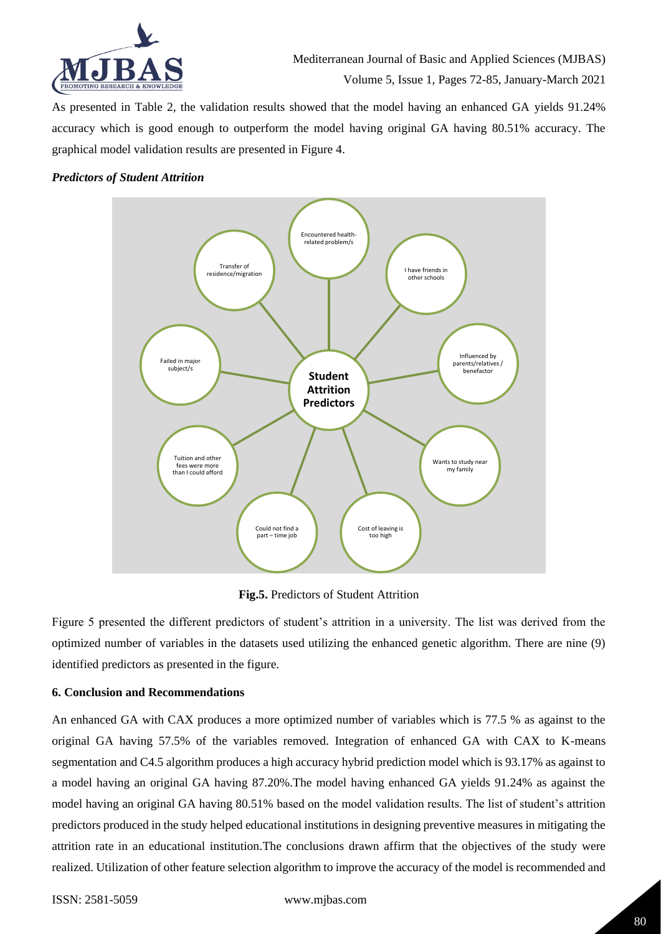

As presented in Table 2, the validation results showed that the model having an enhanced GA yields 91.24% accuracy which is good enough to outperform the model having original GA having 80.51% accuracy. The graphical model validation results are presented in Figure 4.

#### *Predictors of Student Attrition*



**Fig.5.** Predictors of Student Attrition

Figure 5 presented the different predictors of student's attrition in a university. The list was derived from the optimized number of variables in the datasets used utilizing the enhanced genetic algorithm. There are nine (9) identified predictors as presented in the figure.

## **6. Conclusion and Recommendations**

An enhanced GA with CAX produces a more optimized number of variables which is 77.5 % as against to the original GA having 57.5% of the variables removed. Integration of enhanced GA with CAX to K-means segmentation and C4.5 algorithm produces a high accuracy hybrid prediction model which is 93.17% as against to a model having an original GA having 87.20%.The model having enhanced GA yields 91.24% as against the model having an original GA having 80.51% based on the model validation results. The list of student's attrition predictors produced in the study helped educational institutions in designing preventive measures in mitigating the attrition rate in an educational institution.The conclusions drawn affirm that the objectives of the study were realized. Utilization of other feature selection algorithm to improve the accuracy of the model is recommended and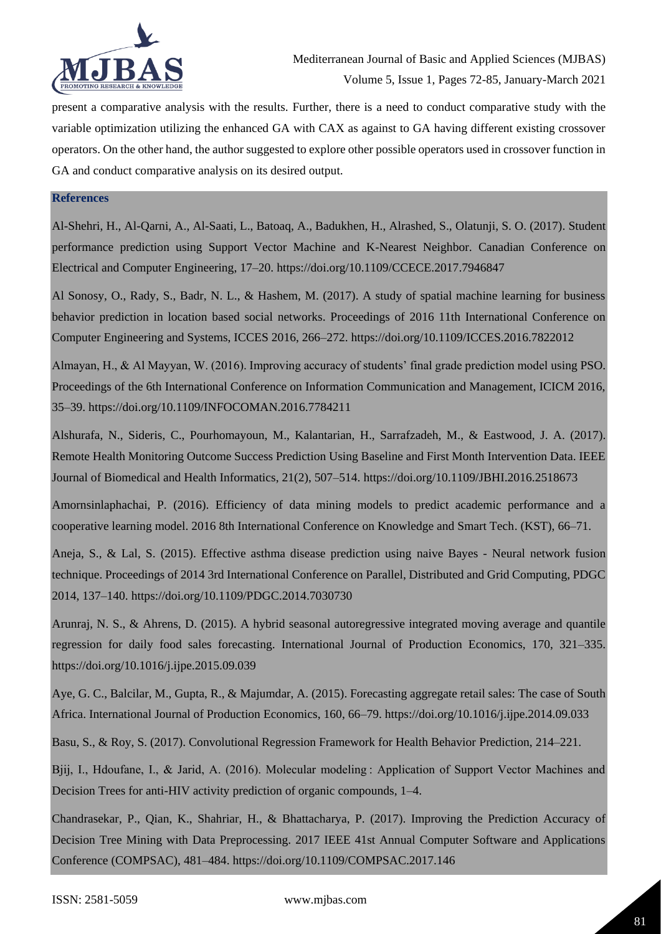

present a comparative analysis with the results. Further, there is a need to conduct comparative study with the variable optimization utilizing the enhanced GA with CAX as against to GA having different existing crossover operators. On the other hand, the author suggested to explore other possible operators used in crossover function in GA and conduct comparative analysis on its desired output.

#### **References**

Al-Shehri, H., Al-Qarni, A., Al-Saati, L., Batoaq, A., Badukhen, H., Alrashed, S., Olatunji, S. O. (2017). Student performance prediction using Support Vector Machine and K-Nearest Neighbor. Canadian Conference on Electrical and Computer Engineering, 17–20. https://doi.org/10.1109/CCECE.2017.7946847

Al Sonosy, O., Rady, S., Badr, N. L., & Hashem, M. (2017). A study of spatial machine learning for business behavior prediction in location based social networks. Proceedings of 2016 11th International Conference on Computer Engineering and Systems, ICCES 2016, 266–272. https://doi.org/10.1109/ICCES.2016.7822012

Almayan, H., & Al Mayyan, W. (2016). Improving accuracy of students' final grade prediction model using PSO. Proceedings of the 6th International Conference on Information Communication and Management, ICICM 2016, 35–39. https://doi.org/10.1109/INFOCOMAN.2016.7784211

Alshurafa, N., Sideris, C., Pourhomayoun, M., Kalantarian, H., Sarrafzadeh, M., & Eastwood, J. A. (2017). Remote Health Monitoring Outcome Success Prediction Using Baseline and First Month Intervention Data. IEEE Journal of Biomedical and Health Informatics, 21(2), 507–514. https://doi.org/10.1109/JBHI.2016.2518673

Amornsinlaphachai, P. (2016). Efficiency of data mining models to predict academic performance and a cooperative learning model. 2016 8th International Conference on Knowledge and Smart Tech. (KST), 66–71.

Aneja, S., & Lal, S. (2015). Effective asthma disease prediction using naive Bayes - Neural network fusion technique. Proceedings of 2014 3rd International Conference on Parallel, Distributed and Grid Computing, PDGC 2014, 137–140. https://doi.org/10.1109/PDGC.2014.7030730

Arunraj, N. S., & Ahrens, D. (2015). A hybrid seasonal autoregressive integrated moving average and quantile regression for daily food sales forecasting. International Journal of Production Economics, 170, 321–335. https://doi.org/10.1016/j.ijpe.2015.09.039

Aye, G. C., Balcilar, M., Gupta, R., & Majumdar, A. (2015). Forecasting aggregate retail sales: The case of South Africa. International Journal of Production Economics, 160, 66–79. https://doi.org/10.1016/j.ijpe.2014.09.033

Basu, S., & Roy, S. (2017). Convolutional Regression Framework for Health Behavior Prediction, 214–221.

Bjij, I., Hdoufane, I., & Jarid, A. (2016). Molecular modeling : Application of Support Vector Machines and Decision Trees for anti-HIV activity prediction of organic compounds, 1–4.

Chandrasekar, P., Qian, K., Shahriar, H., & Bhattacharya, P. (2017). Improving the Prediction Accuracy of Decision Tree Mining with Data Preprocessing. 2017 IEEE 41st Annual Computer Software and Applications Conference (COMPSAC), 481–484. https://doi.org/10.1109/COMPSAC.2017.146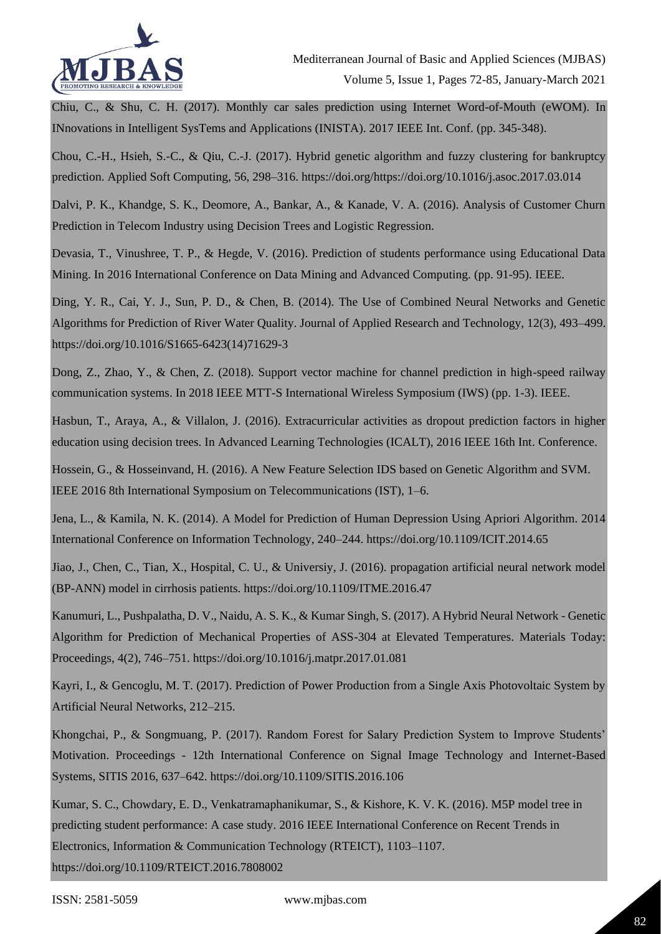

Chiu, C., & Shu, C. H. (2017). Monthly car sales prediction using Internet Word-of-Mouth (eWOM). In INnovations in Intelligent SysTems and Applications (INISTA). 2017 IEEE Int. Conf. (pp. 345-348).

Chou, C.-H., Hsieh, S.-C., & Qiu, C.-J. (2017). Hybrid genetic algorithm and fuzzy clustering for bankruptcy prediction. Applied Soft Computing, 56, 298–316. https://doi.org/https://doi.org/10.1016/j.asoc.2017.03.014

Dalvi, P. K., Khandge, S. K., Deomore, A., Bankar, A., & Kanade, V. A. (2016). Analysis of Customer Churn Prediction in Telecom Industry using Decision Trees and Logistic Regression.

Devasia, T., Vinushree, T. P., & Hegde, V. (2016). Prediction of students performance using Educational Data Mining. In 2016 International Conference on Data Mining and Advanced Computing. (pp. 91-95). IEEE.

Ding, Y. R., Cai, Y. J., Sun, P. D., & Chen, B. (2014). The Use of Combined Neural Networks and Genetic Algorithms for Prediction of River Water Quality. Journal of Applied Research and Technology, 12(3), 493–499. https://doi.org/10.1016/S1665-6423(14)71629-3

Dong, Z., Zhao, Y., & Chen, Z. (2018). Support vector machine for channel prediction in high-speed railway communication systems. In 2018 IEEE MTT-S International Wireless Symposium (IWS) (pp. 1-3). IEEE.

Hasbun, T., Araya, A., & Villalon, J. (2016). Extracurricular activities as dropout prediction factors in higher education using decision trees. In Advanced Learning Technologies (ICALT), 2016 IEEE 16th Int. Conference.

Hossein, G., & Hosseinvand, H. (2016). A New Feature Selection IDS based on Genetic Algorithm and SVM. IEEE 2016 8th International Symposium on Telecommunications (IST), 1–6.

Jena, L., & Kamila, N. K. (2014). A Model for Prediction of Human Depression Using Apriori Algorithm. 2014 International Conference on Information Technology, 240–244. https://doi.org/10.1109/ICIT.2014.65

Jiao, J., Chen, C., Tian, X., Hospital, C. U., & Universiy, J. (2016). propagation artificial neural network model (BP-ANN) model in cirrhosis patients. https://doi.org/10.1109/ITME.2016.47

Kanumuri, L., Pushpalatha, D. V., Naidu, A. S. K., & Kumar Singh, S. (2017). A Hybrid Neural Network - Genetic Algorithm for Prediction of Mechanical Properties of ASS-304 at Elevated Temperatures. Materials Today: Proceedings, 4(2), 746–751. https://doi.org/10.1016/j.matpr.2017.01.081

Kayri, I., & Gencoglu, M. T. (2017). Prediction of Power Production from a Single Axis Photovoltaic System by Artificial Neural Networks, 212–215.

Khongchai, P., & Songmuang, P. (2017). Random Forest for Salary Prediction System to Improve Students' Motivation. Proceedings - 12th International Conference on Signal Image Technology and Internet-Based Systems, SITIS 2016, 637–642. https://doi.org/10.1109/SITIS.2016.106

Kumar, S. C., Chowdary, E. D., Venkatramaphanikumar, S., & Kishore, K. V. K. (2016). M5P model tree in predicting student performance: A case study. 2016 IEEE International Conference on Recent Trends in Electronics, Information & Communication Technology (RTEICT), 1103–1107.

https://doi.org/10.1109/RTEICT.2016.7808002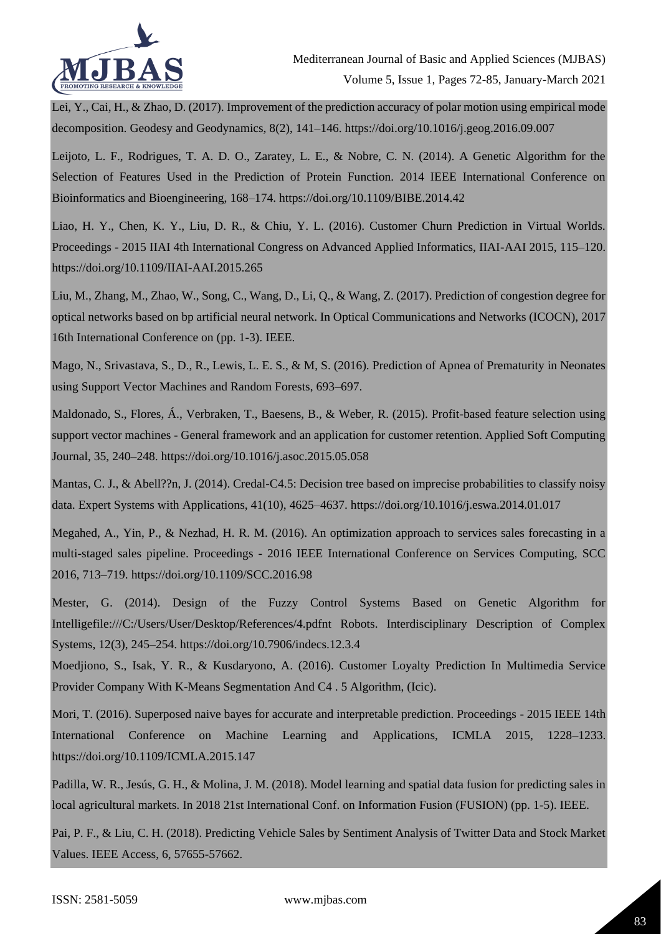

Lei, Y., Cai, H., & Zhao, D. (2017). Improvement of the prediction accuracy of polar motion using empirical mode decomposition. Geodesy and Geodynamics, 8(2), 141–146. https://doi.org/10.1016/j.geog.2016.09.007

Leijoto, L. F., Rodrigues, T. A. D. O., Zaratey, L. E., & Nobre, C. N. (2014). A Genetic Algorithm for the Selection of Features Used in the Prediction of Protein Function. 2014 IEEE International Conference on Bioinformatics and Bioengineering, 168–174. https://doi.org/10.1109/BIBE.2014.42

Liao, H. Y., Chen, K. Y., Liu, D. R., & Chiu, Y. L. (2016). Customer Churn Prediction in Virtual Worlds. Proceedings - 2015 IIAI 4th International Congress on Advanced Applied Informatics, IIAI-AAI 2015, 115–120. https://doi.org/10.1109/IIAI-AAI.2015.265

Liu, M., Zhang, M., Zhao, W., Song, C., Wang, D., Li, Q., & Wang, Z. (2017). Prediction of congestion degree for optical networks based on bp artificial neural network. In Optical Communications and Networks (ICOCN), 2017 16th International Conference on (pp. 1-3). IEEE.

Mago, N., Srivastava, S., D., R., Lewis, L. E. S., & M, S. (2016). Prediction of Apnea of Prematurity in Neonates using Support Vector Machines and Random Forests, 693–697.

Maldonado, S., Flores, Á., Verbraken, T., Baesens, B., & Weber, R. (2015). Profit-based feature selection using support vector machines - General framework and an application for customer retention. Applied Soft Computing Journal, 35, 240–248. https://doi.org/10.1016/j.asoc.2015.05.058

Mantas, C. J., & Abell??n, J. (2014). Credal-C4.5: Decision tree based on imprecise probabilities to classify noisy data. Expert Systems with Applications, 41(10), 4625–4637. https://doi.org/10.1016/j.eswa.2014.01.017

Megahed, A., Yin, P., & Nezhad, H. R. M. (2016). An optimization approach to services sales forecasting in a multi-staged sales pipeline. Proceedings - 2016 IEEE International Conference on Services Computing, SCC 2016, 713–719. https://doi.org/10.1109/SCC.2016.98

Mester, G. (2014). Design of the Fuzzy Control Systems Based on Genetic Algorithm for Intelligefile:///C:/Users/User/Desktop/References/4.pdfnt Robots. Interdisciplinary Description of Complex Systems, 12(3), 245–254. https://doi.org/10.7906/indecs.12.3.4

Moedjiono, S., Isak, Y. R., & Kusdaryono, A. (2016). Customer Loyalty Prediction In Multimedia Service Provider Company With K-Means Segmentation And C4 . 5 Algorithm, (Icic).

Mori, T. (2016). Superposed naive bayes for accurate and interpretable prediction. Proceedings - 2015 IEEE 14th International Conference on Machine Learning and Applications, ICMLA 2015, 1228–1233. https://doi.org/10.1109/ICMLA.2015.147

Padilla, W. R., Jesús, G. H., & Molina, J. M. (2018). Model learning and spatial data fusion for predicting sales in local agricultural markets. In 2018 21st International Conf. on Information Fusion (FUSION) (pp. 1-5). IEEE.

Pai, P. F., & Liu, C. H. (2018). Predicting Vehicle Sales by Sentiment Analysis of Twitter Data and Stock Market Values. IEEE Access, 6, 57655-57662.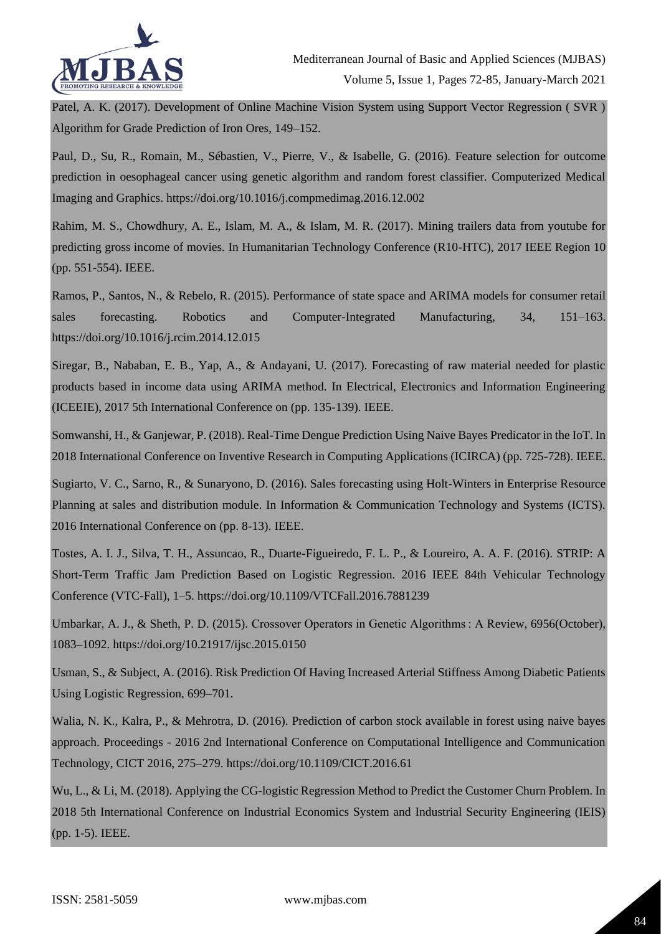

Patel, A. K. (2017). Development of Online Machine Vision System using Support Vector Regression ( SVR ) Algorithm for Grade Prediction of Iron Ores, 149–152.

Paul, D., Su, R., Romain, M., Sébastien, V., Pierre, V., & Isabelle, G. (2016). Feature selection for outcome prediction in oesophageal cancer using genetic algorithm and random forest classifier. Computerized Medical Imaging and Graphics. https://doi.org/10.1016/j.compmedimag.2016.12.002

Rahim, M. S., Chowdhury, A. E., Islam, M. A., & Islam, M. R. (2017). Mining trailers data from youtube for predicting gross income of movies. In Humanitarian Technology Conference (R10-HTC), 2017 IEEE Region 10 (pp. 551-554). IEEE.

Ramos, P., Santos, N., & Rebelo, R. (2015). Performance of state space and ARIMA models for consumer retail sales forecasting. Robotics and Computer-Integrated Manufacturing, 34, 151–163. https://doi.org/10.1016/j.rcim.2014.12.015

Siregar, B., Nababan, E. B., Yap, A., & Andayani, U. (2017). Forecasting of raw material needed for plastic products based in income data using ARIMA method. In Electrical, Electronics and Information Engineering (ICEEIE), 2017 5th International Conference on (pp. 135-139). IEEE.

Somwanshi, H., & Ganjewar, P. (2018). Real-Time Dengue Prediction Using Naive Bayes Predicator in the IoT. In 2018 International Conference on Inventive Research in Computing Applications (ICIRCA) (pp. 725-728). IEEE.

Sugiarto, V. C., Sarno, R., & Sunaryono, D. (2016). Sales forecasting using Holt-Winters in Enterprise Resource Planning at sales and distribution module. In Information & Communication Technology and Systems (ICTS). 2016 International Conference on (pp. 8-13). IEEE.

Tostes, A. I. J., Silva, T. H., Assuncao, R., Duarte-Figueiredo, F. L. P., & Loureiro, A. A. F. (2016). STRIP: A Short-Term Traffic Jam Prediction Based on Logistic Regression. 2016 IEEE 84th Vehicular Technology Conference (VTC-Fall), 1–5. https://doi.org/10.1109/VTCFall.2016.7881239

Umbarkar, A. J., & Sheth, P. D. (2015). Crossover Operators in Genetic Algorithms : A Review, 6956(October), 1083–1092. https://doi.org/10.21917/ijsc.2015.0150

Usman, S., & Subject, A. (2016). Risk Prediction Of Having Increased Arterial Stiffness Among Diabetic Patients Using Logistic Regression, 699–701.

Walia, N. K., Kalra, P., & Mehrotra, D. (2016). Prediction of carbon stock available in forest using naive bayes approach. Proceedings - 2016 2nd International Conference on Computational Intelligence and Communication Technology, CICT 2016, 275–279. https://doi.org/10.1109/CICT.2016.61

Wu, L., & Li, M. (2018). Applying the CG-logistic Regression Method to Predict the Customer Churn Problem. In 2018 5th International Conference on Industrial Economics System and Industrial Security Engineering (IEIS) (pp. 1-5). IEEE.